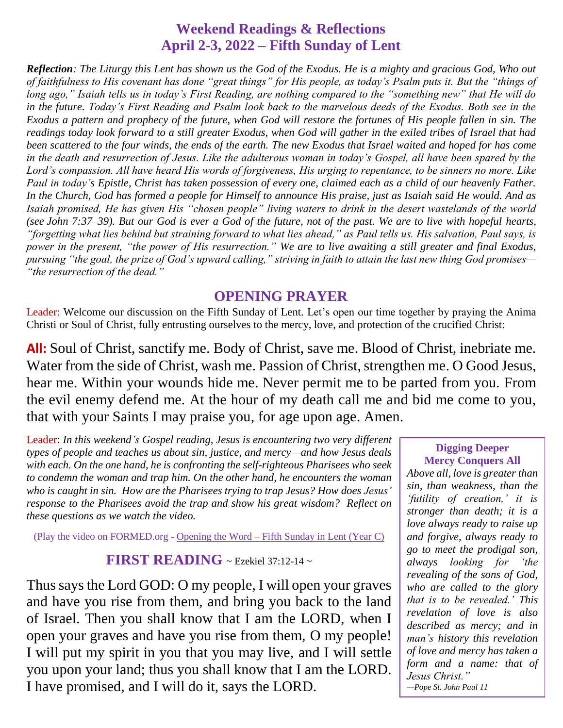## **Weekend Readings & Reflections April 2-3, 2022 – Fifth Sunday of Lent**

*Reflection: The Liturgy this Lent has shown us the God of the Exodus. He is a mighty and gracious God, Who out of faithfulness to His covenant has done "great things" for His people, as today's Psalm puts it. But the "things of long ago," Isaiah tells us in today's First Reading, are nothing compared to the "something new" that He will do in the future. Today's First Reading and Psalm look back to the marvelous deeds of the Exodus. Both see in the Exodus a pattern and prophecy of the future, when God will restore the fortunes of His people fallen in sin. The readings today look forward to a still greater Exodus, when God will gather in the exiled tribes of Israel that had been scattered to the four winds, the ends of the earth. The new Exodus that Israel waited and hoped for has come in the death and resurrection of Jesus. Like the adulterous woman in today's Gospel, all have been spared by the Lord's compassion. All have heard His words of forgiveness, His urging to repentance, to be sinners no more. Like Paul in today's Epistle, Christ has taken possession of every one, claimed each as a child of our heavenly Father. In the Church, God has formed a people for Himself to announce His praise, just as Isaiah said He would. And as Isaiah promised, He has given His "chosen people" living waters to drink in the desert wastelands of the world (see [John 7:37–39\)](https://biblia.com/bible/rsvce/John%207.37%E2%80%9339). But our God is ever a God of the future, not of the past. We are to live with hopeful hearts, "forgetting what lies behind but straining forward to what lies ahead," as Paul tells us. His salvation, Paul says, is power in the present, "the power of His resurrection." We are to live awaiting a still greater and final Exodus, pursuing "the goal, the prize of God's upward calling," striving in faith to attain the last new thing God promises— "the resurrection of the dead."*

### **OPENING PRAYER**

Leader: Welcome our discussion on the Fifth Sunday of Lent. Let's open our time together by praying the Anima Christi or Soul of Christ, fully entrusting ourselves to the mercy, love, and protection of the crucified Christ:

**All:** Soul of Christ, sanctify me. Body of Christ, save me. Blood of Christ, inebriate me. Water from the side of Christ, wash me. Passion of Christ, strengthen me. O Good Jesus, hear me. Within your wounds hide me. Never permit me to be parted from you. From the evil enemy defend me. At the hour of my death call me and bid me come to you, that with your Saints I may praise you, for age upon age. Amen.

Leader: *In this weekend's Gospel reading, Jesus is encountering two very different types of people and teaches us about sin, justice, and mercy—and how Jesus deals with each. On the one hand, he is confronting the self-righteous Pharisees who seek to condemn the woman and trap him. On the other hand, he encounters the woman who is caught in sin. How are the Pharisees trying to trap Jesus? How does Jesus' response to the Pharisees avoid the trap and show his great wisdom? Reflect on these questions as we watch the video.*

(Play the video on FORMED.org - [Opening the Word –](https://watch.formed.org/opening-the-word-1/season:3/videos/5th-sunday-of-lent-april-7-2019-1) Fifth Sunday in Lent (Year C)

### **FIRST READING** ~ Ezekiel 37:12-14 ~

Thus says the Lord GOD: O my people, I will open your graves and have you rise from them, and bring you back to the land of Israel. Then you shall know that I am the LORD, when I open your graves and have you rise from them, O my people! I will put my spirit in you that you may live, and I will settle you upon your land; thus you shall know that I am the LORD. I have promised, and I will do it, says the LORD.

#### **Digging Deeper Mercy Conquers All**

*Above all, love is greater than sin, than weakness, than the 'futility of creation,' it is stronger than death; it is a love always ready to raise up and forgive, always ready to go to meet the prodigal son, always looking for 'the revealing of the sons of God, who are called to the glory that is to be revealed.' This revelation of love is also described as mercy; and in man's history this revelation of love and mercy has taken a form and a name: that of Jesus Christ." —Pope St. John Paul 11*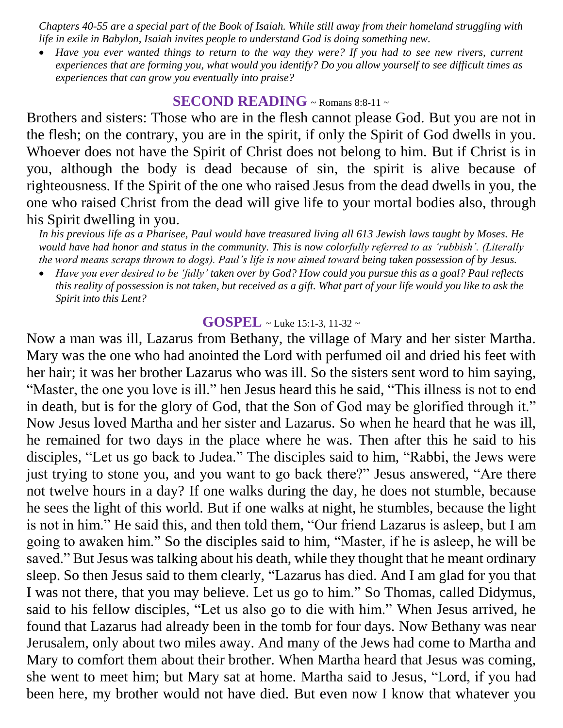*Chapters 40-55 are a special part of the Book of Isaiah. While still away from their homeland struggling with life in exile in Babylon, Isaiah invites people to understand God is doing something new.* 

 *Have you ever wanted things to return to the way they were? If you had to see new rivers, current experiences that are forming you, what would you identify? Do you allow yourself to see difficult times as experiences that can grow you eventually into praise?*

## **SECOND READING** ~ Romans 8:8-11 <sup>~</sup>

Brothers and sisters: Those who are in the flesh cannot please God. But you are not in the flesh; on the contrary, you are in the spirit, if only the Spirit of God dwells in you. Whoever does not have the Spirit of Christ does not belong to him. But if Christ is in you, although the body is dead because of sin, the spirit is alive because of righteousness. If the Spirit of the one who raised Jesus from the dead dwells in you, the one who raised Christ from the dead will give life to your mortal bodies also, through his Spirit dwelling in you.

*In his previous life as a Pharisee, Paul would have treasured living all 613 Jewish laws taught by Moses. He would have had honor and status in the community. This is now colorfully referred to as 'rubbish'. (Literally the word means scraps thrown to dogs). Paul's life is now aimed toward being taken possession of by Jesus.* 

 *Have you ever desired to be 'fully' taken over by God? How could you pursue this as a goal? Paul reflects this reality of possession is not taken, but received as a gift. What part of your life would you like to ask the Spirit into this Lent?*

#### **GOSPEL** ~ Luke 15:1-3, 11-32 <sup>~</sup>

Now a man was ill, Lazarus from Bethany, the village of Mary and her sister Martha. Mary was the one who had anointed the Lord with perfumed oil and dried his feet with her hair; it was her brother Lazarus who was ill. So the sisters sent word to him saying, "Master, the one you love is ill." hen Jesus heard this he said, "This illness is not to end in death, but is for the glory of God, that the Son of God may be glorified through it." Now Jesus loved Martha and her sister and Lazarus. So when he heard that he was ill, he remained for two days in the place where he was. Then after this he said to his disciples, "Let us go back to Judea." The disciples said to him, "Rabbi, the Jews were just trying to stone you, and you want to go back there?" Jesus answered, "Are there not twelve hours in a day? If one walks during the day, he does not stumble, because he sees the light of this world. But if one walks at night, he stumbles, because the light is not in him." He said this, and then told them, "Our friend Lazarus is asleep, but I am going to awaken him." So the disciples said to him, "Master, if he is asleep, he will be saved." But Jesus was talking about his death, while they thought that he meant ordinary sleep. So then Jesus said to them clearly, "Lazarus has died. And I am glad for you that I was not there, that you may believe. Let us go to him." So Thomas, called Didymus, said to his fellow disciples, "Let us also go to die with him." When Jesus arrived, he found that Lazarus had already been in the tomb for four days. Now Bethany was near Jerusalem, only about two miles away. And many of the Jews had come to Martha and Mary to comfort them about their brother. When Martha heard that Jesus was coming, she went to meet him; but Mary sat at home. Martha said to Jesus, "Lord, if you had been here, my brother would not have died. But even now I know that whatever you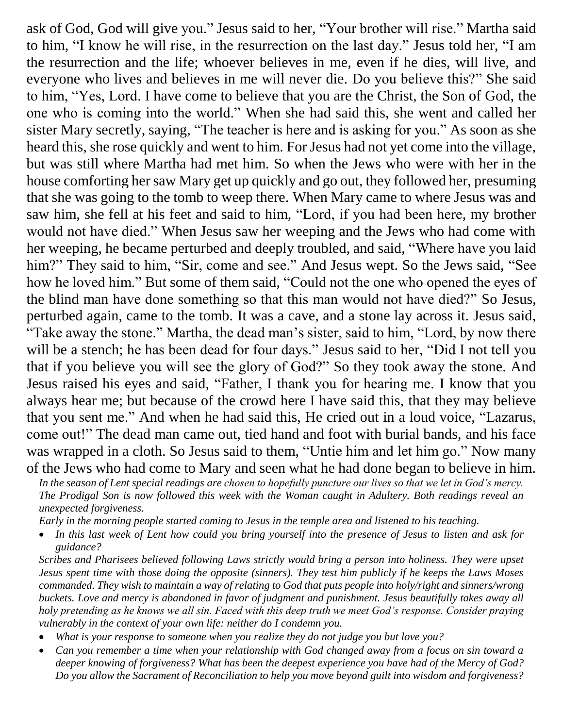ask of God, God will give you." Jesus said to her, "Your brother will rise." Martha said to him, "I know he will rise, in the resurrection on the last day." Jesus told her, "I am the resurrection and the life; whoever believes in me, even if he dies, will live, and everyone who lives and believes in me will never die. Do you believe this?" She said to him, "Yes, Lord. I have come to believe that you are the Christ, the Son of God, the one who is coming into the world." When she had said this, she went and called her sister Mary secretly, saying, "The teacher is here and is asking for you." As soon as she heard this, she rose quickly and went to him. For Jesus had not yet come into the village, but was still where Martha had met him. So when the Jews who were with her in the house comforting her saw Mary get up quickly and go out, they followed her, presuming that she was going to the tomb to weep there. When Mary came to where Jesus was and saw him, she fell at his feet and said to him, "Lord, if you had been here, my brother would not have died." When Jesus saw her weeping and the Jews who had come with her weeping, he became perturbed and deeply troubled, and said, "Where have you laid him?" They said to him, "Sir, come and see." And Jesus wept. So the Jews said, "See how he loved him." But some of them said, "Could not the one who opened the eyes of the blind man have done something so that this man would not have died?" So Jesus, perturbed again, came to the tomb. It was a cave, and a stone lay across it. Jesus said, "Take away the stone." Martha, the dead man's sister, said to him, "Lord, by now there will be a stench; he has been dead for four days." Jesus said to her, "Did I not tell you that if you believe you will see the glory of God?" So they took away the stone. And Jesus raised his eyes and said, "Father, I thank you for hearing me. I know that you always hear me; but because of the crowd here I have said this, that they may believe that you sent me." And when he had said this, He cried out in a loud voice, "Lazarus, come out!" The dead man came out, tied hand and foot with burial bands, and his face was wrapped in a cloth. So Jesus said to them, "Untie him and let him go." Now many of the Jews who had come to Mary and seen what he had done began to believe in him.

*In the season of Lent special readings are chosen to hopefully puncture our lives so that we let in God's mercy. The Prodigal Son is now followed this week with the Woman caught in Adultery. Both readings reveal an unexpected forgiveness.*

*Early in the morning people started coming to Jesus in the temple area and listened to his teaching.* 

 *In this last week of Lent how could you bring yourself into the presence of Jesus to listen and ask for guidance?*

*Scribes and Pharisees believed following Laws strictly would bring a person into holiness. They were upset Jesus spent time with those doing the opposite (sinners). They test him publicly if he keeps the Laws Moses commanded. They wish to maintain a way of relating to God that puts people into holy/right and sinners/wrong buckets. Love and mercy is abandoned in favor of judgment and punishment. Jesus beautifully takes away all holy pretending as he knows we all sin. Faced with this deep truth we meet God's response. Consider praying vulnerably in the context of your own life: neither do I condemn you.*

- *What is your response to someone when you realize they do not judge you but love you?*
- *Can you remember a time when your relationship with God changed away from a focus on sin toward a deeper knowing of forgiveness? What has been the deepest experience you have had of the Mercy of God? Do you allow the Sacrament of Reconciliation to help you move beyond guilt into wisdom and forgiveness?*